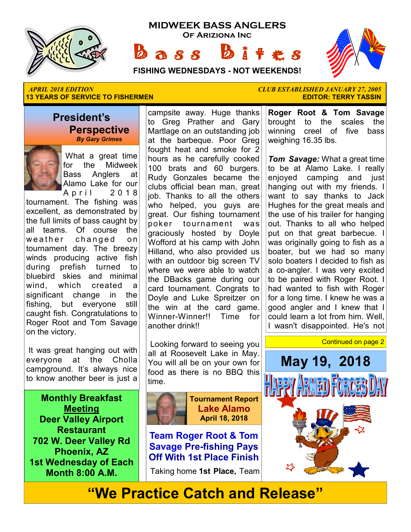

**MIDWEEK BASS ANGLERS Of Ariziona Inc**

 $a s s$ 



**FISHING WEDNESDAYS - NOT WEEKENDS!**

#### *APRIL 2018 EDITION CLUB ESTABLISHED JANUARY 27, 2005*  **13 YEARS OF SERVICE TO FISHERMEN**

## **President's Perspective**

 *By Gary Grimes*



 What a great time for the Midweek Bass Anglers at Alamo Lake for our A p r i l 2 0 1 8

tournament. The fishing was excellent, as demonstrated by the full limits of bass caught by all teams. Of course the weather changed on tournament day. The breezy winds producing active fish during prefish turned to bluebird skies and minimal wind, which created a significant change in the fishing, but everyone still caught fish. Congratulations to Roger Root and Tom Savage on the victory.

 It was great hanging out with everyone at the Cholla campground. It's always nice to know another beer is just a

**Monthly Breakfast Meeting Deer Valley Airport Restaurant 702 W. Deer Valley Rd Phoenix, AZ 1st Wednesday of Each Month 8:00 A.M.** 

campsite away. Huge thanks to Greg Prather and Gary Martlage on an outstanding job at the barbeque. Poor Greg fought heat and smoke for 2 hours as he carefully cooked 100 brats and 60 burgers. Rudy Gonzales became the clubs official bean man, great job. Thanks to all the others who helped, you guys are great. Our fishing tournament poker tournament was graciously hosted by Doyle Wofford at his camp with John Hilland, who also provided us with an outdoor big screen TV where we were able to watch the DBacks game during our card tournament. Congrats to Doyle and Luke Spreitzer on the win at the card game. Winner-Winner!! Time for another drink!!

 Looking forward to seeing you all at Roosevelt Lake in May. You will all be on your own for food as there is no BBQ this time.



**Tournament Report Lake Alamo April 18, 2018** 

**Team Roger Root & Tom Savage Pre-fishing Pays Off With 1st Place Finish**

Taking home **1st Place,** Team

**Roger Root & Tom Savage**  brought to the scales the winning creel of five bass weighing 16.35 lbs.

*Tom Savage:* What a great time to be at Alamo Lake. I really enjoyed camping and just hanging out with my friends. I want to say thanks to Jack Hughes for the great meals and the use of his trailer for hanging out. Thanks to all who helped put on that great barbecue. I was originally going to fish as a boater, but we had so many solo boaters I decided to fish as a co-angler. I was very excited to be paired with Roger Root. I had wanted to fish with Roger for a long time. I knew he was a good angler and I knew that I could learn a lot from him. Well, I wasn't disappointed. He's not



**"We Practice Catch and Release"**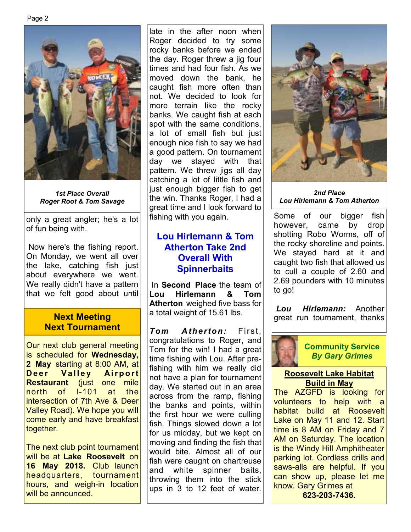

*1st Place Overall Roger Root & Tom Savage* 

only a great angler; he's a lot of fun being with.

 Now here's the fishing report. On Monday, we went all over the lake, catching fish just about everywhere we went. We really didn't have a pattern that we felt good about until

#### **Next Meeting Next Tournament**

Our next club general meeting is scheduled for **Wednesday, 2 May** starting at 8:00 AM, at **Deer Valley Airport Restaurant** (just one mile north of I-101 at the intersection of 7th Ave & Deer Valley Road). We hope you will come early and have breakfast together.

The next club point tournament will be at **Lake Roosevelt** on **16 May 2018.** Club launch headquarters, tournament hours, and weigh-in location will be announced.

late in the after noon when Roger decided to try some rocky banks before we ended the day. Roger threw a jig four times and had four fish. As we moved down the bank, he caught fish more often than not. We decided to look for more terrain like the rocky banks. We caught fish at each spot with the same conditions, a lot of small fish but just enough nice fish to say we had a good pattern. On tournament day we stayed with that pattern. We threw jigs all day catching a lot of little fish and just enough bigger fish to get the win. Thanks Roger, I had a great time and I look forward to fishing with you again.

## **Lou Hirlemann & Tom Atherton Take 2nd Overall With Spinnerbaits**

 In **Second Place** the team of **Lou Hirlemann & Tom Atherton** weighed five bass for a total weight of 15.61 lbs.

*Tom Atherton:* First, congratulations to Roger, and Tom for the win! I had a great time fishing with Lou. After prefishing with him we really did not have a plan for tournament day. We started out in an area across from the ramp, fishing the banks and points, within the first hour we were culling fish. Things slowed down a lot for us midday, but we kept on moving and finding the fish that would bite. Almost all of our fish were caught on chartreuse and white spinner baits, throwing them into the stick ups in 3 to 12 feet of water.



*2nd Place Lou Hirlemann & Tom Atherton*

Some of our bigger fish however, came by drop shotting Robo Worms, off of the rocky shoreline and points. We stayed hard at it and caught two fish that allowed us to cull a couple of 2.60 and 2.69 pounders with 10 minutes to go!

*Lou Hirlemann:* Another great run tournament, thanks



#### **Community Service**  *By Gary Grimes*

#### **Roosevelt Lake Habitat Build in May**

The AZGFD is looking for volunteers to help with a habitat build at Roosevelt Lake on May 11 and 12. Start time is 8 AM on Friday and 7 AM on Saturday. The location is the Windy Hill Amphitheater parking lot. Cordless drills and saws-alls are helpful. If you can show up, please let me know. Gary Grimes at **623-203-7436.**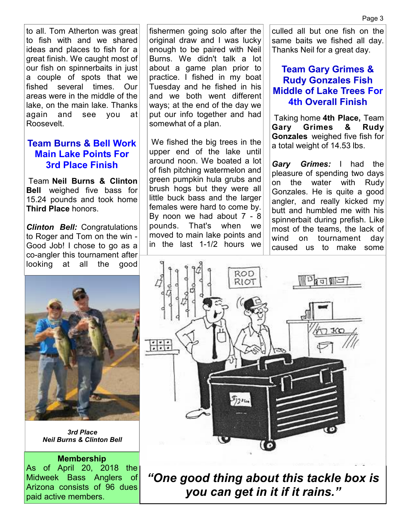to all. Tom Atherton was great to fish with and we shared ideas and places to fish for a great finish. We caught most of our fish on spinnerbaits in just a couple of spots that we fished several times. Our areas were in the middle of the lake, on the main lake. Thanks again and see you at Roosevelt.

### **Team Burns & Bell Work Main Lake Points For 3rd Place Finish**

 Team **Neil Burns & Clinton Bell** weighed five bass for 15.24 pounds and took home **Third Place** honors.

*Clinton Bell:* Congratulations to Roger and Tom on the win - Good Job! I chose to go as a co-angler this tournament after looking at all the good



*3rd Place Neil Burns & Clinton Bell* 

#### **Membership**

As of April 20, 2018 the Midweek Bass Anglers of Arizona consists of 96 dues paid active members.

fishermen going solo after the original draw and I was lucky enough to be paired with Neil Burns. We didn't talk a lot about a game plan prior to practice. I fished in my boat Tuesday and he fished in his and we both went different ways; at the end of the day we put our info together and had somewhat of a plan.

 We fished the big trees in the upper end of the lake until around noon. We boated a lot of fish pitching watermelon and green pumpkin hula grubs and brush hogs but they were all little buck bass and the larger females were hard to come by. By noon we had about 7 - 8 pounds. That's when we moved to main lake points and in the last 1-1/2 hours we

culled all but one fish on the same baits we fished all day. Thanks Neil for a great day.

## **Team Gary Grimes & Rudy Gonzales Fish Middle of Lake Trees For 4th Overall Finish**

 Taking home **4th Place,** Team **Gary Grimes & Rudy Gonzales** weighed five fish for a total weight of 14.53 lbs.

*Gary Grimes:* I had the pleasure of spending two days on the water with Rudy Gonzales. He is quite a good angler, and really kicked my butt and humbled me with his spinnerbait during prefish. Like most of the teams, the lack of wind on tournament day caused us to make some



*"One good thing about this tackle box is you can get in it if it rains."*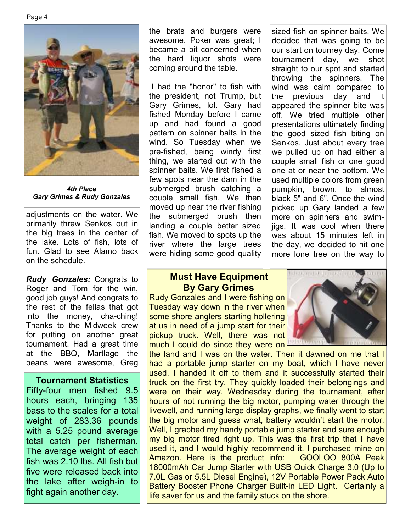Page 4



*4th Place Gary Grimes & Rudy Gonzales* 

adjustments on the water. We primarily threw Senkos out in the big trees in the center of the lake. Lots of fish, lots of fun. Glad to see Alamo back on the schedule.

*Rudy Gonzales:* Congrats to Roger and Tom for the win, good job guys! And congrats to the rest of the fellas that got into the money, cha-ching! Thanks to the Midweek crew for putting on another great tournament. Had a great time at the BBQ, Martlage the beans were awesome, Greg

#### **Tournament Statistics**

Fifty-four men fished 9.5 hours each, bringing 135 bass to the scales for a total weight of 283.36 pounds with a 5.25 pound average total catch per fisherman. The average weight of each fish was 2.10 lbs. All fish but five were released back into the lake after weigh-in to fight again another day.

the brats and burgers were awesome. Poker was great; I became a bit concerned when the hard liquor shots were coming around the table.

 I had the "honor" to fish with the president, not Trump, but Gary Grimes, lol. Gary had fished Monday before I came up and had found a good pattern on spinner baits in the wind. So Tuesday when we pre-fished, being windy first thing, we started out with the spinner baits. We first fished a few spots near the dam in the submerged brush catching a couple small fish. We then moved up near the river fishing the submerged brush then landing a couple better sized fish. We moved to spots up the river where the large trees were hiding some good quality

sized fish on spinner baits. We decided that was going to be our start on tourney day. Come tournament day, we shot straight to our spot and started throwing the spinners. The wind was calm compared to the previous day and it appeared the spinner bite was off. We tried multiple other presentations ultimately finding the good sized fish biting on Senkos. Just about every tree we pulled up on had either a couple small fish or one good one at or near the bottom. We used multiple colors from green pumpkin, brown, to almost black 5" and 6". Once the wind picked up Gary landed a few more on spinners and swimjigs. It was cool when there was about 15 minutes left in the day, we decided to hit one more lone tree on the way to

#### **Must Have Equipment By Gary Grimes**

Rudy Gonzales and I were fishing on Tuesday way down in the river when some shore anglers starting hollering at us in need of a jump start for their pickup truck. Well, there was not much I could do since they were on



the land and I was on the water. Then it dawned on me that I had a portable jump starter on my boat, which I have never used. I handed it off to them and it successfully started their truck on the first try. They quickly loaded their belongings and were on their way. Wednesday during the tournament, after hours of not running the big motor, pumping water through the livewell, and running large display graphs, we finally went to start the big motor and guess what, battery wouldn't start the motor. Well, I grabbed my handy portable jump starter and sure enough my big motor fired right up. This was the first trip that I have used it, and I would highly recommend it. I purchased mine on Amazon. Here is the product info: GOOLOO 800A Peak 18000mAh Car Jump Starter with USB Quick Charge 3.0 (Up to 7.0L Gas or 5.5L Diesel Engine), 12V Portable Power Pack Auto Battery Booster Phone Charger Built-in LED Light. Certainly a life saver for us and the family stuck on the shore.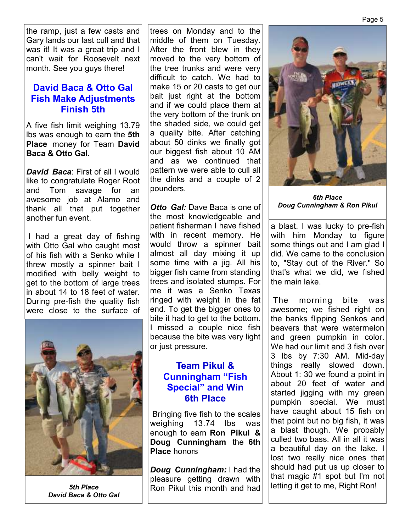Page 5

the ramp, just a few casts and Gary lands our last cull and that was it! It was a great trip and I can't wait for Roosevelt next month. See you guys there!

## **David Baca & Otto Gal Fish Make Adjustments Finish 5th**

A five fish limit weighing 13.79 lbs was enough to earn the **5th Place** money for Team **David Baca & Otto Gal.** 

*David Baca*: First of all I would like to congratulate Roger Root and Tom savage for an awesome job at Alamo and thank all that put together another fun event.

 I had a great day of fishing with Otto Gal who caught most of his fish with a Senko while I threw mostly a spinner bait I modified with belly weight to get to the bottom of large trees in about 14 to 18 feet of water. During pre-fish the quality fish were close to the surface of



*David Baca & Otto Gal* 

trees on Monday and to the middle of them on Tuesday. After the front blew in they moved to the very bottom of the tree trunks and were very difficult to catch. We had to make 15 or 20 casts to get our bait just right at the bottom and if we could place them at the very bottom of the trunk on the shaded side, we could get a quality bite. After catching about 50 dinks we finally got our biggest fish about 10 AM and as we continued that pattern we were able to cull all the dinks and a couple of 2 pounders.

*Otto Gal:* Dave Baca is one of the most knowledgeable and patient fisherman I have fished with in recent memory. He would throw a spinner bait almost all day mixing it up some time with a jig. All his bigger fish came from standing trees and isolated stumps. For me it was a Senko Texas ringed with weight in the fat end. To get the bigger ones to bite it had to get to the bottom. I missed a couple nice fish because the bite was very light or just pressure.

## **Team Pikul & Cunningham "Fish Special" and Win 6th Place**

 Bringing five fish to the scales weighing 13.74 lbs was enough to earn **Ron Pikul & Doug Cunningham** the **6th Place** honors

*Doug Cunningham:* I had the pleasure getting drawn with 5th Place **Rom Pikul this month and had** letting it get to me, Right Ron!



*6th Place Doug Cunningham & Ron Pikul*

a blast. I was lucky to pre-fish with him Monday to figure some things out and I am glad I did. We came to the conclusion to, "Stay out of the River." So that's what we did, we fished the main lake.

 The morning bite was awesome; we fished right on the banks flipping Senkos and beavers that were watermelon and green pumpkin in color. We had our limit and 3 fish over 3 lbs by 7:30 AM. Mid-day things really slowed down. About 1: 30 we found a point in about 20 feet of water and started jigging with my green pumpkin special. We must have caught about 15 fish on that point but no big fish, it was a blast though. We probably culled two bass. All in all it was a beautiful day on the lake. I lost two really nice ones that should had put us up closer to that magic #1 spot but I'm not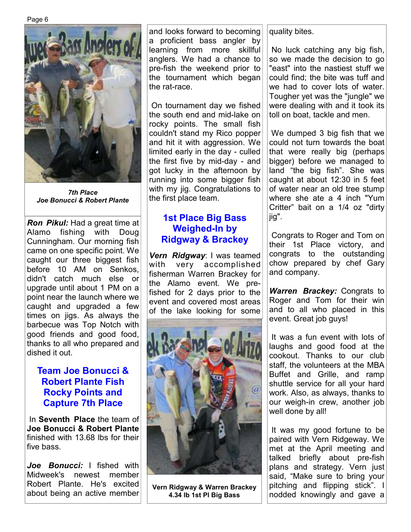

*7th Place Joe Bonucci & Robert Plante* 

*Ron Pikul:* Had a great time at Alamo fishing with Doug Cunningham. Our morning fish came on one specific point. We caught our three biggest fish before 10 AM on Senkos, didn't catch much else or upgrade until about 1 PM on a point near the launch where we caught and upgraded a few times on jigs. As always the barbecue was Top Notch with good friends and good food, thanks to all who prepared and dished it out.

## **Team Joe Bonucci & Robert Plante Fish Rocky Points and Capture 7th Place**

 In **Seventh Place** the team of **Joe Bonucci & Robert Plante**  finished with 13.68 lbs for their five bass.

*Joe Bonucci:* I fished with Midweek's newest member Robert Plante. He's excited about being an active member and looks forward to becoming a proficient bass angler by learning from more skillful anglers. We had a chance to pre-fish the weekend prior to the tournament which began the rat-race.

 On tournament day we fished the south end and mid-lake on rocky points. The small fish couldn't stand my Rico popper and hit it with aggression. We limited early in the day - culled the first five by mid-day - and got lucky in the afternoon by running into some bigger fish with my jig. Congratulations to the first place team.

## **1st Place Big Bass Weighed-In by Ridgway & Brackey**

*Vern Ridgway*: I was teamed with very accomplished fisherman Warren Brackey for the Alamo event. We prefished for 2 days prior to the event and covered most areas of the lake looking for some



**Vern Ridgway & Warren Brackey 4.34 lb 1st Pl Big Bass** 

quality bites.

 No luck catching any big fish, so we made the decision to go "east" into the nastiest stuff we could find; the bite was tuff and we had to cover lots of water. Tougher yet was the "jungle" we were dealing with and it took its toll on boat, tackle and men.

 We dumped 3 big fish that we could not turn towards the boat that were really big (perhaps bigger) before we managed to land "the big fish". She was caught at about 12:30 in 5 feet of water near an old tree stump where she ate a 4 inch "Yum Critter" bait on a 1/4 oz "dirty jig".

 Congrats to Roger and Tom on their 1st Place victory, and congrats to the outstanding chow prepared by chef Gary and company.

*Warren Brackey:* Congrats to Roger and Tom for their win and to all who placed in this event. Great job guys!

 It was a fun event with lots of laughs and good food at the cookout. Thanks to our club staff, the volunteers at the MBA Buffet and Grille, and ramp shuttle service for all your hard work. Also, as always, thanks to our weigh-in crew, another job well done by all!

 It was my good fortune to be paired with Vern Ridgeway. We met at the April meeting and talked briefly about pre-fish plans and strategy. Vern just said, "Make sure to bring your pitching and flipping stick". I nodded knowingly and gave a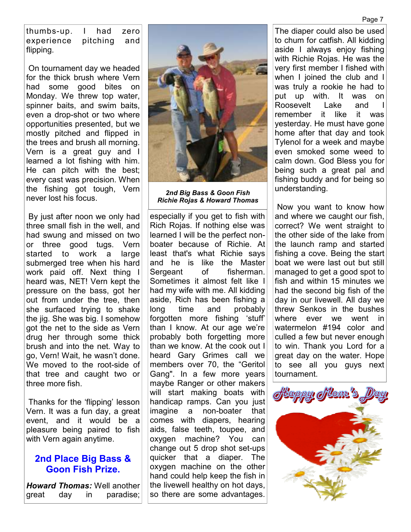thumbs-up. I had zero experience pitching and flipping.

 On tournament day we headed for the thick brush where Vern had some good bites on Monday. We threw top water, spinner baits, and swim baits, even a drop-shot or two where opportunities presented, but we mostly pitched and flipped in the trees and brush all morning. Vern is a great guy and I learned a lot fishing with him. He can pitch with the best; every cast was precision. When the fishing got tough, Vern never lost his focus.

 By just after noon we only had three small fish in the well, and had swung and missed on two or three good tugs. Vern started to work a large submerged tree when his hard work paid off. Next thing I heard was, NET! Vern kept the pressure on the bass, got her out from under the tree, then she surfaced trying to shake the jig. She was big. I somehow got the net to the side as Vern drug her through some thick brush and into the net. Way to go, Vern! Wait, he wasn't done. We moved to the root-side of that tree and caught two or three more fish.

 Thanks for the 'flipping' lesson Vern. It was a fun day, a great event, and it would be a pleasure being paired to fish with Vern again anytime.

#### **2nd Place Big Bass & Goon Fish Prize.**

*Howard Thomas:* Well another great day in paradise;



*2nd Big Bass & Goon Fish Richie Rojas & Howard Thomas* 

especially if you get to fish with Rich Rojas. If nothing else was learned I will be the perfect nonboater because of Richie. At least that's what Richie says and he is like the Master Sergeant of fisherman. Sometimes it almost felt like I had my wife with me. All kidding aside, Rich has been fishing a long time and probably forgotten more fishing 'stuff' than I know. At our age we're probably both forgetting more than we know. At the cook out I heard Gary Grimes call we members over 70, the "Geritol Gang". In a few more years maybe Ranger or other makers will start making boats with handicap ramps. Can you just imagine a non-boater that comes with diapers, hearing aids, false teeth, toupee, and oxygen machine? You can change out 5 drop shot set-ups quicker that a diaper. The oxygen machine on the other hand could help keep the fish in the livewell healthy on hot days, so there are some advantages.

The diaper could also be used to chum for catfish. All kidding aside I always enjoy fishing with Richie Rojas. He was the very first member I fished with when I joined the club and I was truly a rookie he had to put up with. It was on Roosevelt Lake and remember it like it was yesterday. He must have gone home after that day and took Tylenol for a week and maybe even smoked some weed to calm down. God Bless you for being such a great pal and fishing buddy and for being so understanding.

 Now you want to know how and where we caught our fish, correct? We went straight to the other side of the lake from the launch ramp and started fishing a cove. Being the start boat we were last out but still managed to get a good spot to fish and within 15 minutes we had the second big fish of the day in our livewell. All day we threw Senkos in the bushes where ever we went in watermelon #194 color and culled a few but never enough to win. Thank you Lord for a great day on the water. Hope to see all you guys next tournament.

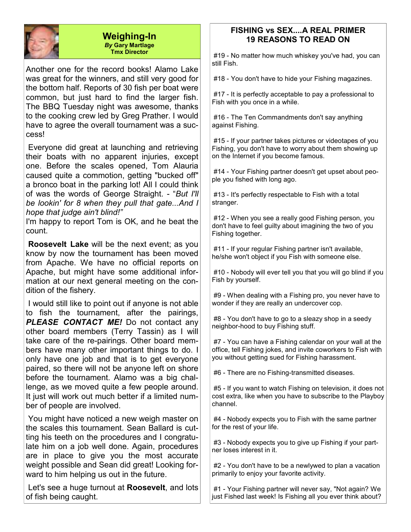

#### **Weighing-In**  *By* **Gary Martlage Tmx Director**

Another one for the record books! Alamo Lake was great for the winners, and still very good for the bottom half. Reports of 30 fish per boat were common, but just hard to find the larger fish. The BBQ Tuesday night was awesome, thanks to the cooking crew led by Greg Prather. I would have to agree the overall tournament was a success!

 Everyone did great at launching and retrieving their boats with no apparent injuries, except one. Before the scales opened, Tom Alauria caused quite a commotion, getting "bucked off" a bronco boat in the parking lot! All I could think of was the words of George Straight. - "*But I'll be lookin' for 8 when they pull that gate...And I hope that judge ain't blind!"*

I'm happy to report Tom is OK, and he beat the count.

**Roosevelt Lake** will be the next event; as you know by now the tournament has been moved from Apache. We have no official reports on Apache, but might have some additional information at our next general meeting on the condition of the fishery.

 I would still like to point out if anyone is not able to fish the tournament, after the pairings, *PLEASE CONTACT ME!* Do not contact any other board members (Terry Tassin) as I will take care of the re-pairings. Other board members have many other important things to do. I only have one job and that is to get everyone paired, so there will not be anyone left on shore before the tournament. Alamo was a big challenge, as we moved quite a few people around. It just will work out much better if a limited number of people are involved.

 You might have noticed a new weigh master on the scales this tournament. Sean Ballard is cutting his teeth on the procedures and I congratulate him on a job well done. Again, procedures are in place to give you the most accurate weight possible and Sean did great! Looking forward to him helping us out in the future.

 Let's see a huge turnout at **Roosevelt**, and lots of fish being caught.

#### **FISHING vs SEX....A REAL PRIMER 19 REASONS TO READ ON**

 #19 - No matter how much whiskey you've had, you can still Fish.

#18 - You don't have to hide your Fishing magazines.

 #17 - It is perfectly acceptable to pay a professional to Fish with you once in a while.

 #16 - The Ten Commandments don't say anything against Fishing.

 #15 - If your partner takes pictures or videotapes of you Fishing, you don't have to worry about them showing up on the Internet if you become famous.

 #14 - Your Fishing partner doesn't get upset about people you fished with long ago.

 #13 - It's perfectly respectable to Fish with a total stranger.

 #12 - When you see a really good Fishing person, you don't have to feel guilty about imagining the two of you Fishing together.

 #11 - If your regular Fishing partner isn't available, he/she won't object if you Fish with someone else.

 #10 - Nobody will ever tell you that you will go blind if you Fish by yourself.

 #9 - When dealing with a Fishing pro, you never have to wonder if they are really an undercover cop.

 #8 - You don't have to go to a sleazy shop in a seedy neighbor-hood to buy Fishing stuff.

 #7 - You can have a Fishing calendar on your wall at the office, tell Fishing jokes, and invite coworkers to Fish with you without getting sued for Fishing harassment.

#6 - There are no Fishing-transmitted diseases.

 #5 - If you want to watch Fishing on television, it does not cost extra, like when you have to subscribe to the Playboy channel.

 #4 - Nobody expects you to Fish with the same partner for the rest of your life.

 #3 - Nobody expects you to give up Fishing if your partner loses interest in it.

 #2 - You don't have to be a newlywed to plan a vacation primarily to enjoy your favorite activity.

 #1 - Your Fishing partner will never say, "Not again? We just Fished last week! Is Fishing all you ever think about?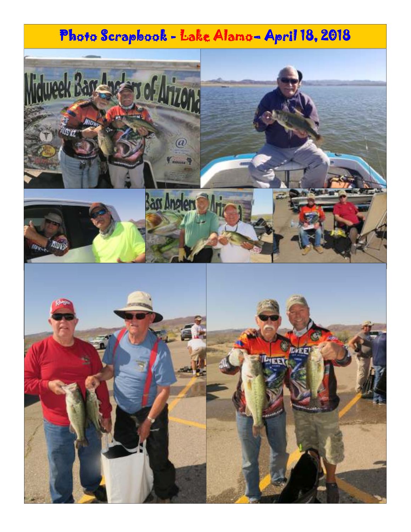# Photo Scrapbook - Lake Alamo- April 18, 2018